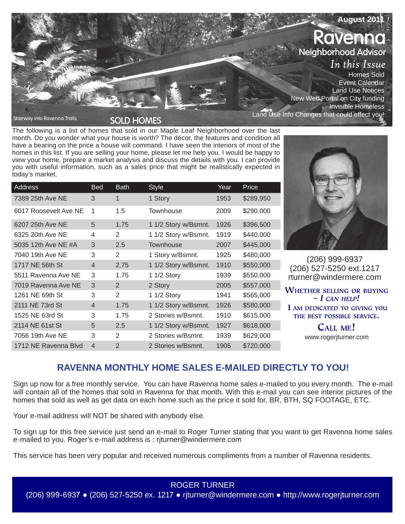

The following is a list of homes that sold in our Maple Leaf Neighborhood over the last month. Do you wonder what your house is worth? The décor, the features and condition all have a bearing on the price a house will command. I have seen the interiors of most of the homes in this list. If you are selling your home, please let me help you. I would be happy to view your home, prepare a market analysis and discuss the details with you. I can provide you with useful information, such as a sales price that might be realistically expected in today's market.

| Address               | <b>Bed</b>     | <b>Bath</b>    | <b>Style</b>         | Year | Price     |
|-----------------------|----------------|----------------|----------------------|------|-----------|
| 7389 25th Ave NE      | 3              | 1              | 1 Story              | 1953 | \$289,950 |
| 6017 Roosevelt Ave NE | 1              | 1.5            | Townhouse            | 2009 | \$290,000 |
| 6207 25th Ave NE      | 5              | 1.75           | 1 1/2 Story w/Bsmnt. | 1926 | \$396,500 |
| 6325 20th Ave NE      | 4              | 2              | 1 1/2 Story w/Bsmnt. | 1919 | \$440,000 |
| 5035 12th Ave NE #A   | 3              | 2.5            | Townhouse            | 2007 | \$445,000 |
| 7040 19th Ave NE      | 3              | 2              | 1 Story w/Bsmnt.     | 1925 | \$480,000 |
| 1717 NE 56th St       | $\overline{4}$ | 2.75           | 1 1/2 Story w/Bsmnt. | 1910 | \$550,000 |
| 5511 Ravenna Ave NE   | 3              | 1.75           | 1 1/2 Story          | 1939 | \$550,000 |
| 7019 Ravenna Ave NE   | 3              | 2              | 2 Story              | 2005 | \$557,000 |
| 1261 NE 69th St       | 3              | 2              | 1 1/2 Story          | 1941 | \$565,000 |
| 2111 NE 73rd St       | $\overline{4}$ | 1.75           | 1 1/2 Story w/Bsmnt. | 1926 | \$580,000 |
| 1525 NE 63rd St       | 3              | 1.75           | 2 Stories w/Bsmnt.   | 1910 | \$615,000 |
| 2114 NE 61st St       | 5              | 2.5            | 1 1/2 Story w/Bsmnt. | 1927 | \$618,000 |
| 7056 19th Ave NE      | 3              | 2              | 2 Stories w/Bsmnt.   | 1939 | \$629,000 |
| 1712 NE Ravenna Blvd  | $\overline{4}$ | $\overline{2}$ | 2 Stories w/Bsmnt.   | 1905 | \$720,000 |



(206) 999-6937 (206) 527-5250 ext.1217 rturner@windermere.com

WHETHER SELLING OR BUYING  $-I$  CAN HELP! I AM DEDICATED TO GIVING YOU THE BEST POSSIBLE SERVICE.

> CALL ME! www.rogerjturner.com

# **RAVENNA MONTHLY HOME SALES E-MAILED DIRECTLY TO YOU!**

Sign up now for a free monthly service. You can have Ravenna home sales e-mailed to you every month. The e-mail will contain all of the homes that sold in Ravenna for that month. With this e-mail you can see interior pictures of the homes that sold as well as get data on each home such as the price it sold for, BR, BTH, SQ FOOTAGE, ETC.

Your e-mail address will NOT be shared with anybody else.

To sign up for this free service just send an e-mail to Roger Turner stating that you want to get Ravenna home sales e-mailed to you. Roger's e-mail address is : rjturner@windermere.com

This service has been very popular and received numerous compliments from a number of Ravenna residents.

ROGER TURNER (206) 999-6937 ● (206) 527-5250 ex. 1217 ● rjturner@windermere.com ● http://www.rogerjturner.com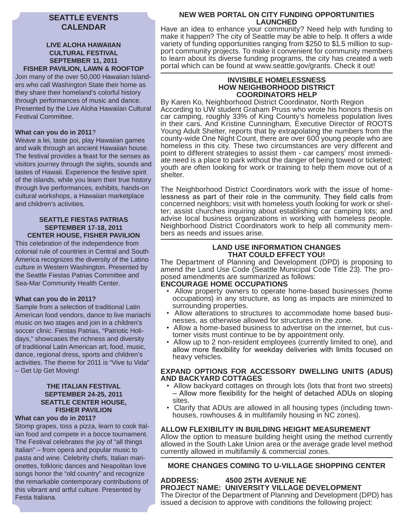# **SEATTLE EVENTS CALENDAR**

## **LIVE ALOHA HAWAIIAN CULTURAL FESTIVAL SEPTEMBER 11, 2011 FISHER PAVILION, LAWN & ROOFTOP**

Join many of the over 50,000 Hawaiian Islanders who call Washington State their home as they share their homeland's colorful history through performances of music and dance. Presented by the Live Aloha Hawaiian Cultural Festival Committee.

# **What can you do in 2011**?

Weave a lei, taste poi, play Hawaiian games and walk through an ancient Hawaiian house. The festival provides a feast for the senses as visitors journey through the sights, sounds and tastes of Hawaii. Experience the festive spirit of the islands, while you learn their true history through live performances, exhibits, hands-on cultural workshops, a Hawaiian marketplace and children's activities.

### **SEATTLE FIESTAS PATRIAS SEPTEMBER 17-18, 2011 CENTER HOUSE, FISHER PAVILION**

This celebration of the independence from colonial rule of countries in Central and South America recognizes the diversity of the Latino culture in Western Washington. Presented by the Seattle Fiestas Patrias Committee and Sea-Mar Community Health Center.

### **What can you do in 2011?**

Sample from a selection of traditional Latin American food vendors, dance to live mariachi music on two stages and join in a children's soccer clinic. Fiestas Patrias, "Patriotic Holidays," showcases the richness and diversity of traditional Latin American art, food, music, dance, regional dress, sports and children's activities. The theme for 2011 is "Vive tu Vida" – Get Up Get Moving!

### **THE ITALIAN FESTIVAL SEPTEMBER 24-25, 2011 SEATTLE CENTER HOUSE, FISHER PAVILION**

### **What can you do in 2011?**

Stomp grapes, toss a pizza, learn to cook Italian food and compete in a bocce tournament. The Festival celebrates the joy of "all things Italian" – from opera and popular music to pasta and wine. Celebrity chefs, Italian marionettes, folkloric dances and Neapolitan love songs honor the "old country" and recognize the remarkable contemporary contributions of this vibrant and artful culture. Presented by Festa Italiana.

# **NEW WEB PORTAL ON CITY FUNDING OPPORTUNITIES LAUNCHED**

Have an idea to enhance your community? Need help with funding to make it happen? The city of Seattle may be able to help. It offers a wide variety of funding opportunities ranging from \$250 to \$1.5 million to support community projects. To make it convenient for community members to learn about its diverse funding programs, the city has created a web portal which can be found at www.seattle.gov/grants. Check it out!

### **INVISIBLE HOMELESSNESS HOW NEIGHBORHOOD DISTRICT COORDINATORS HELP**

By Karen Ko, Neighborhood District Coordinator, North Region According to UW student Graham Pruss who wrote his honors thesis on car camping, roughly 33% of King County's homeless population lives in their cars. And Kristine Cunningham, Executive Director of ROOTS Young Adult Shelter, reports that by extrapolating the numbers from the county-wide One Night Count, there are over 600 young people who are homeless in this city. These two circumstances are very different and point to different strategies to assist them - car campers' most immediate need is a place to park without the danger of being towed or ticketed; youth are often looking for work or training to help them move out of a shelter.

The Neighborhood District Coordinators work with the issue of home-<br>lessness as part of their role in the community. They field calls from concerned neighbors; visit with homeless youth looking for work or shelter; assist churches inquiring about establishing car camping lots; and advise local business organizations in working with homeless people. Neighborhood District Coordinators work to help all community members as needs and issues arise.

## **LAND USE INFORMATION CHANGES THAT COULD EFFECT YOU!**

The Department of Planning and Development (DPD) is proposing to amend the Land Use Code (Seattle Municipal Code Title 23). The proposed amendments are summarized as follows:<br>**ENCOURAGE HOME OCCUPATIONS** 

- Allow property owners to operate home-based businesses (home occupations) in any structure, as long as impacts are minimized to surrounding properties.
- Allow alterations to structures to accommodate home based businesses, as otherwise allowed for structures in the zone.
- Allow a home-based business to advertise on the internet, but customer visits must continue to be by appointment only.
- Allow up to 2 non-resident employees (currently limited to one), and<br>allow more flexibility for weekday deliveries with limits focused on heavy vehicles.

## **EXPAND OPTIONS FOR ACCESSORY DWELLING UNITS (ADUS) AND BACKYARD COTTAGES**

- Allow backyard cottages on through lots (lots that front two streets)<br>Allow more flexibility for the height of detached ADUs on sloping sites.
- Clarify that ADUs are allowed in all housing types (including townhouses, rowhouses & in multifamily housing in NC zones).

# **ALLOW FLEXIBILITY IN BUILDING HEIGHT MEASUREMENT**

Allow the option to measure building height using the method currently allowed in the South Lake Union area or the average grade level method currently allowed in multifamily & commercial zones.

# **MORE CHANGES COMING TO U-VILLAGE SHOPPING CENTER**

# **ADDRESS: 4500 25TH AVENUE NE PROJECT NAME: UNIVERSITY VILLAGE DEVELOPMENT**

The Director of the Department of Planning and Development (DPD) has issued a decision to approve with conditions the following project: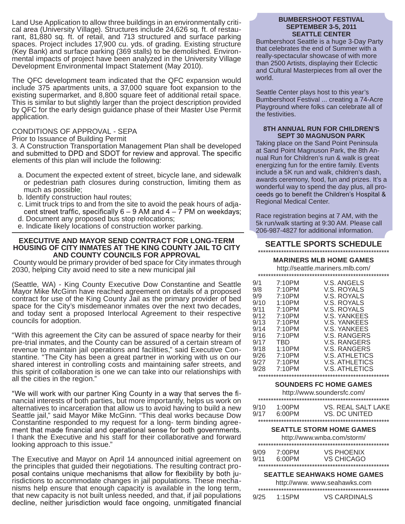Land Use Application to allow three buildings in an environmentally critical area (University Village). Structures include 24,626 sq. ft. of restaurant, 81,880 sq. ft. of retail, and 713 structured and surface parking spaces. Project includes 17,900 cu. yds. of grading. Existing structure (Key Bank) and surface parking (369 stalls) to be demolished. Environmental impacts of project have been analyzed in the University Village Development Environmental Impact Statement (May 2010).

The QFC development team indicated that the QFC expansion would include 375 apartments units, a 37,000 square foot expansion to the existing supermarket, and 8,800 square feet of additional retail space. This is similar to but slightly larger than the project description provided by QFC for the early design guidance phase of their Master Use Permit application.

# CONDITIONS OF APPROVAL - SEPA

Prior to Issuance of Building Permit

3. A Construction Transportation Management Plan shall be developed elements of this plan will include the following:

- a. Document the expected extent of street, bicycle lane, and sidewalk or pedestrian path closures during construction, limiting them as much as possible;
- b. Identify construction haul routes;
- c. Limit truck trips to and from the site to avoid the peak hours of adja-<br>cent street traffic, specifically  $6 9$  AM and  $4 7$  PM on weekdays;
- d. Document any proposed bus stop relocations;
- e. Indicate likely locations of construction worker parking.

### **EXECUTIVE AND MAYOR SEND CONTRACT FOR LONG-TERM HOUSING OF CITY INMATES AT THE KING COUNTY JAIL TO CITY AND COUNTY COUNCILS FOR APPROVAL**

 County would be primary provider of bed space for City inmates through 2030, helping City avoid need to site a new municipal jail

(Seattle, WA) - King County Executive Dow Constantine and Seattle Mayor Mike McGinn have reached agreement on details of a proposed contract for use of the King County Jail as the primary provider of bed space for the City's misdemeanor inmates over the next two decades, and today sent a proposed Interlocal Agreement to their respective councils for adoption.

"With this agreement the City can be assured of space nearby for their pre-trial inmates, and the County can be assured of a certain stream of revenue to maintain jail operations and facilities," said Executive Constantine. "The City has been a great partner in working with us on our shared interest in controlling costs and maintaining safer streets, and this spirit of collaboration is one we can take into our relationships with all the cities in the region."

"We will work with our partner King County in a way that serves the financial interests of both parties, but more importantly, helps us work on alternatives to incarceration that allow us to avoid having to build a new Seattle jail," said Mayor Mike McGinn. "This deal works because Dow Constantine responded to my request for a long- term binding agree-<br>ment that made financial and operational sense for both governments. I thank the Executive and his staff for their collaborative and forward looking approach to this issue."

The Executive and Mayor on April 14 announced initial agreement on the principles that guided their negotiations. The resulting contract pro posal contains unique mechanisms that allow for flexibility by both ju-<br>risdictions to accommodate changes in jail populations. These mechanisms help ensure that enough capacity is available in the long term, that new capacity is not built unless needed, and that, if jail populations decline, neither jurisdiction would face ongoing, unmitigated financial

### **BUMBERSHOOT FESTIVAL SEPTEMBER 3-5, 2011 SEATTLE CENTER**

Bumbershoot Seattle is a huge 3-Day Party that celebrates the end of Summer with a really-spectacular showcase of with more than 2500 Artists, displaying their Eclectic and Cultural Masterpieces from all over the world.

Seattle Center plays host to this year's Bumbershoot Festival ... creating a 74-Acre Playground where folks can celebrate all of the festivities.

### **8TH ANNUAL RUN FOR CHILDREN'S SEPT 30 MAGNUSON PARK**

Taking place on the Sand Point Peninsula at Sand Point Magnuson Park, the 8th Annual Run for Children's run & walk is great energizing fun for the entire family. Events include a 5K run and walk, children's dash, awards ceremony, food, fun and prizes. It's a wonderful way to spend the day plus, all pro-<br>ceeds go to benefit the Children's Hospital & Regional Medical Center.

Race registration begins at 7 AM, with the 5k run/walk starting at 9:30 AM. Please call 206-987-4827 for additional information.

### **SEATTLE SPORTS SCHEDULE** \*\*\*\*\*\*\*\*\*\*\*\*\*\*\*\*\*\*\*\*\*\*\*\*\*\*\*\*\*\*\*\*\*\*\*\*\*\*\*\*\*\*\*\*\*\*\*\*\*\*\*

### **MARINERS MLB HOME GAMES**

http://seattle.mariners.mlb.com/

| 9/1  | 7:10PM | V.S. ANGELS         |
|------|--------|---------------------|
| 9/8  | 7:10PM | V.S. ROYALS         |
| 9/9  | 7:10PM | V.S. ROYALS         |
| 9/10 | 1:10PM | V.S. ROYALS         |
| 9/11 | 7:10PM | V.S. ROYALS         |
| 9/12 | 7:10PM | <b>V.S. YANKEES</b> |
| 9/13 | 7:10PM | V.S. YANKEES        |
| 9/14 | 7:10PM | V.S. YANKEES        |
| 9/16 | 7:10PM | V.S. RANGERS        |
| 9/17 | TBD    | V.S. RANGERS        |
| 9/18 | 1:10PM | V.S. RANGERS        |
| 9/26 | 7:10PM | V.S. ATHLETICS      |
| 9/27 | 7:10PM | V.S. ATHLETICS      |
| 9/28 | 7:10PM | V.S. ATHLETICS      |
|      |        |                     |
|      |        |                     |

#### **SOUNDERS FC HOME GAMES**

|              |                     | http://www.soundersfc.com/          |
|--------------|---------------------|-------------------------------------|
|              |                     |                                     |
| 9/10<br>9/17 | $1:00$ PM<br>6:00PM | VS. REAL SALT LAKE<br>VS. DC UNITED |
|              |                     |                                     |
|              |                     |                                     |
|              |                     |                                     |

### **SEATTLE STORM HOME GAMES**

| http://www.wnba.com/storm/ |        |                                                                                                                  |  |
|----------------------------|--------|------------------------------------------------------------------------------------------------------------------|--|
|                            |        |                                                                                                                  |  |
| 9/09                       | 7:00PM | VS PHOENIX                                                                                                       |  |
| 9/11                       | 6:00PM | VS CHICAGO                                                                                                       |  |
|                            |        | ղի դիպիսի դիպիսի դիպիսի դիպիսի դիպիսի դիպիսի դիպիսի դիպիսի դիպիսի դիպիսի դիպիսի դիպիսի դիպիսի դիպիսի դիպիսի դիպի |  |

#### **SEATTLE SEAHWAKS HOME GAMES**

| http://www.www.seahawks.com |        |                     |  |
|-----------------------------|--------|---------------------|--|
|                             |        |                     |  |
| 9/25                        | 1:15PM | <b>VS CARDINALS</b> |  |